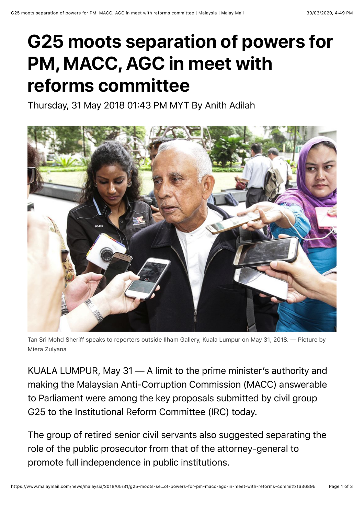## **G25 moots separation of powers for PM, MACC, AGC in meet with reforms committee**

Thursday, 31 May 2018 01:43 PM MYT By Anith Adilah



Tan Sri Mohd Sheriff speaks to reporters outside Ilham Gallery, Kuala Lumpur on May 31, 2018. — Picture by Miera Zulyana

KUALA LUMPUR, May 31 — A limit to the prime minister's authority and making the Malaysian Anti-Corruption Commission (MACC) answerable to Parliament were among the key proposals submitted by civil group G25 to the Institutional Reform Committee (IRC) today.

The group of retired senior civil servants also suggested separating the role of the public prosecutor from that of the attorney-general to promote full independence in public institutions.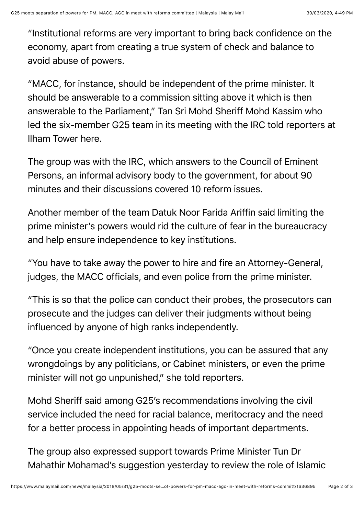"Institutional reforms are very important to bring back confidence on the economy, apart from creating a true system of check and balance to avoid abuse of powers.

"MACC, for instance, should be independent of the prime minister. It should be answerable to a commission sitting above it which is then answerable to the Parliament," Tan Sri Mohd Sheriff Mohd Kassim who led the six-member G25 team in its meeting with the IRC told reporters at Ilham Tower here.

The group was with the IRC, which answers to the Council of Eminent Persons, an informal advisory body to the government, for about 90 minutes and their discussions covered 10 reform issues.

Another member of the team Datuk Noor Farida Ariffin said limiting the prime minister's powers would rid the culture of fear in the bureaucracy and help ensure independence to key institutions.

"You have to take away the power to hire and fire an Attorney-General, judges, the MACC officials, and even police from the prime minister.

"This is so that the police can conduct their probes, the prosecutors can prosecute and the judges can deliver their judgments without being influenced by anyone of high ranks independently.

"Once you create independent institutions, you can be assured that any wrongdoings by any politicians, or Cabinet ministers, or even the prime minister will not go unpunished," she told reporters.

Mohd Sheriff said among G25's recommendations involving the civil service included the need for racial balance, meritocracy and the need for a better process in appointing heads of important departments.

The group also expressed support towards Prime Minister Tun Dr Mahathir Mohamad's suggestion yesterday to review the role of Islamic